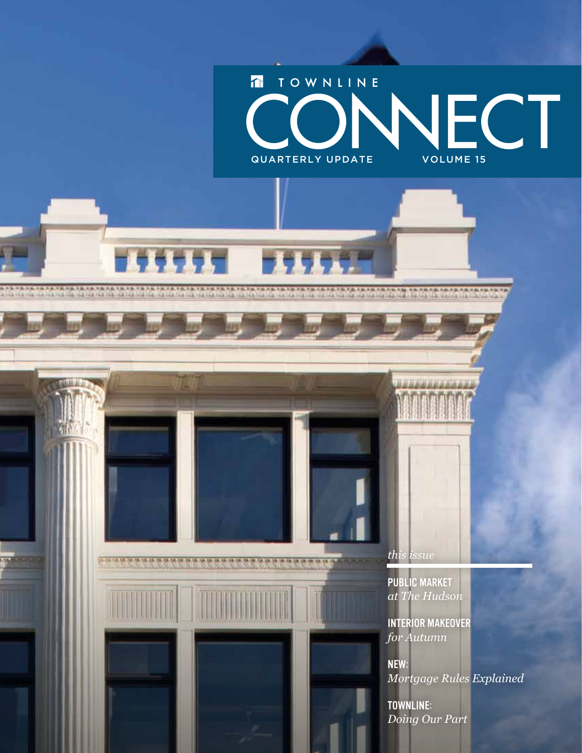

**ABITER** 

AMARIAS

*this issue*

Public Market *at The Hudson*

,,,,,,,,,,,,,,

Interior Makeover *for Autumn*

NEW: *Mortgage Rules Explained*

Townline: *Doing Our Part*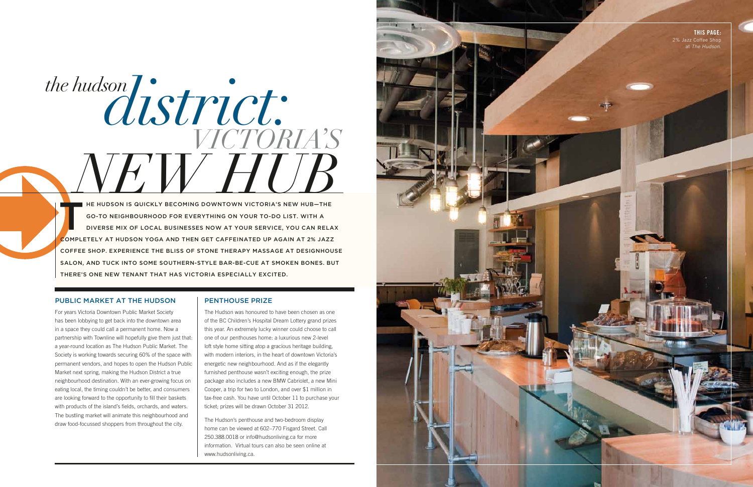For years Victoria Downtown Public Market Society has been lobbying to get back into the downtown area in a space they could call a permanent home. Now a partnership with Townline will hopefully give them just that: a year-round location as The Hudson Public Market. The Society is working towards securing 60% of the space with permanent vendors, and hopes to open the Hudson Public Market next spring, making the Hudson District a true neighbourhood destination. With an ever-growing focus on eating local, the timing couldn't be better, and consumers are looking forward to the opportunity to fill their baskets with products of the island's fields, orchards, and waters. The bustling market will animate this neighbourhood and draw food-focussed shoppers from throughout the city.

#### PENTHOUSE PRIZE

## the hudson  $distric$ **NEW ROOM IS QUICKLY BECOMING DOWNTOWN VICTORIA'S NEW HUB—THE GO-TO NEIGHBOURHOOD FOR EVERYTHING ON YOUR TO-DO LIST. WITH A** *VICTORIA'S*

The Hudson was honoured to have been chosen as one of the BC Children's Hospital Dream Lottery grand prizes this year. An extremely lucky winner could choose to call one of our penthouses home: a luxurious new 2-level loft style home sitting atop a gracious heritage building, with modern interiors, in the heart of downtown Victoria's energetic new neighbourhood. And as if the elegantly furnished penthouse wasn't exciting enough, the prize package also includes a new BMW Cabriolet, a new Mini Cooper, a trip for two to London, and over \$1 million in tax-free cash. You have until October 11 to purchase your ticket; prizes will be drawn October 31 2012.

The Hudson's penthouse and two-bedroom display home can be viewed at 602–770 Fisgard Street. Call 250.388.0018 or info@hudsonliving.ca for more information. Virtual tours can also be seen online at www.hudsonliving.ca.



go-to neighbourhood for e verything on your to-do list. With a di verse mix of local businesses now at your ser vice, you can relax COMPLETELY AT HUDSON YOGA AND THEN GET CAFFEINATED UP AGAIN AT 2% JAZZ Coffee Shop. Experience the bliss of stone therapy massage at Designhouse Salon, and tuck into some southern-style bar-be-cue at Smoken Bones. But there's one new tenant that has Victoria especially excited.

#### PUBLIC MARKET AT THE HUDSON

This Page: 2% Jazz Coffee Shop at *The Hudson.*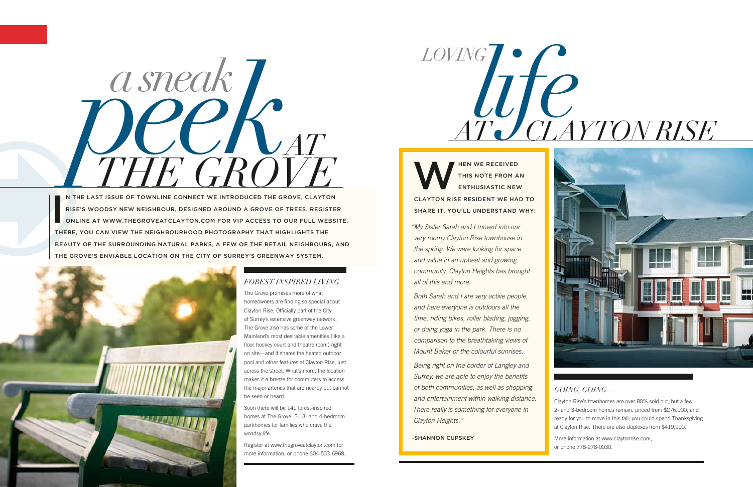#### *Forest Inspired Living*

The Grove promises more of what homeowners are finding so special about Clayton Rise. Officially part of the City of Surrey's extensive greenway network, The Grove also has some of the Lower Mainland's most desirable amenities (like a floor hockey court and theatre room) right on site—and it shares the heated outdoor pool and other features at Clayton Rise, just across the street. What's more, the location makes it a breeze for commuters to access the major arteries that are nearby but cannot be seen or heard.



Soon there will be 141 forest-inspired homes at The Grove: 2-, 3- and 4-bedroom parkhomes for families who crave the woodsy life.

Register at www.thegroveatclayton.com for more information, or phone 604-533-6968.

I Rise's woodsy new neighbour, designed around a grove of trees. Register online at www.thegroveatclayton.com for vip access to our full website. there, you can view the neighbourhood photography that highlights the beauty of the surrounding natural parks, a few of the retail neighbours, and The Grove's enviable location on the City of Surrey's greenway system.



#### *Going, going …*

Clayton Rise's townhomes are over 80% sold out, but a few 2- and 3-bedroom homes remain, priced from \$276,900, and ready for you to move in this fall; you could spend Thanksgiving at Clayton Rise. There are also duplexes from \$419,900.

More information at www.claytonrise.com, or phone 778-278-0030.



THIS NOTE FROM A this note from an enthusiastic new Clayton Rise resident we had to SHARE IT. YOU'LL UNDERSTAND WHY:

# *at clayton rise*



*"My Sister Sarah and I moved into our very roomy Clayton Rise townhouse in the spring. We were looking for space and value in an upbeat and growing community. Clayton Heights has brought all of this and more.*

*Both Sarah and I are very active people, and here everyone is outdoors all the time, riding bikes, roller blading, jogging, or doing yoga in the park. There is no comparison to the breathtaking views of Mount Baker or the colourful sunrises.* 

*Being right on the border of Langley and Surrey, we are able to enjoy the benefits of both communities, as well as shopping and entertainment within walking distance. There really is something for everyone in Clayton Heights."* 

-Shannon Cupskey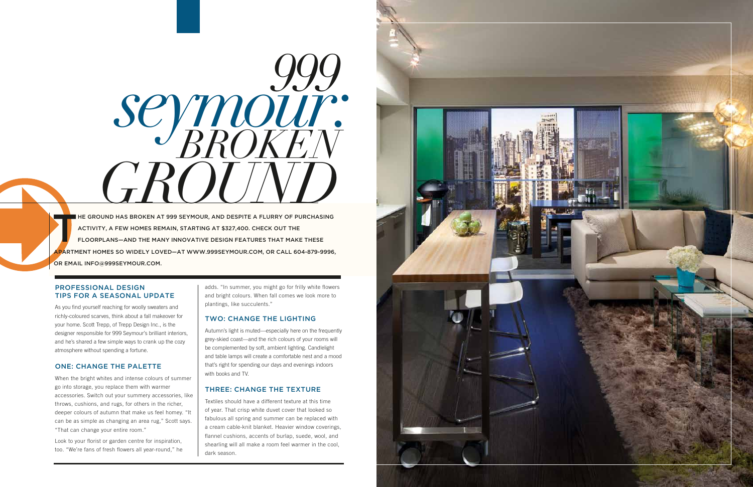#### Professional Design Tips for a Seasonal Update

As you find yourself reaching for woolly sweaters and richly-coloured scarves, think about a fall makeover for your home. Scott Trepp, of Trepp Design Inc., is the designer responsible for 999 Seymour's brilliant interiors, and he's shared a few simple ways to crank up the cozy atmosphere without spending a fortune.

#### One: Change the Palette

When the bright whites and intense colours of summer go into storage, you replace them with warmer accessories. Switch out your summery accessories, like throws, cushions, and rugs, for others in the richer, deeper colours of autumn that make us feel homey. "It can be as simple as changing an area rug," Scott says. "That can change your entire room."

Look to your florist or garden centre for inspiration, too. "We're fans of fresh flowers all year-round," he adds. "In summer, you might go for frilly white flowers and bright colours. When fall comes we look more to plantings, like succulents."

**HE GROUND HAS BROKEN AT 999 SEYMOUR, AND DESPITE A FLURRY OF PURCHASING** activity, a few homes remain, starting at \$327,400. Check out the floorplans—and the many innovative design features that make these apartment homes so widely loved—at www.999seymour.com, or call 604-879-9996, or email info@999seymour.com.

#### Two: Change the Lighting

Autumn's light is muted—especially here on the frequently grey-skied coast—and the rich colours of your rooms will be complemented by soft, ambient lighting. Candlelight and table lamps will create a comfortable nest and a mood that's right for spending our days and evenings indoors with books and TV.

#### Three: Change the Texture

Textiles should have a different texture at this time of year. That crisp white duvet cover that looked so fabulous all spring and summer can be replaced with a cream cable-knit blanket. Heavier window coverings, flannel cushions, accents of burlap, suede, wool, and shearling will all make a room feel warmer in the cool, dark season.



*999 broken*  $G$ *seymour:*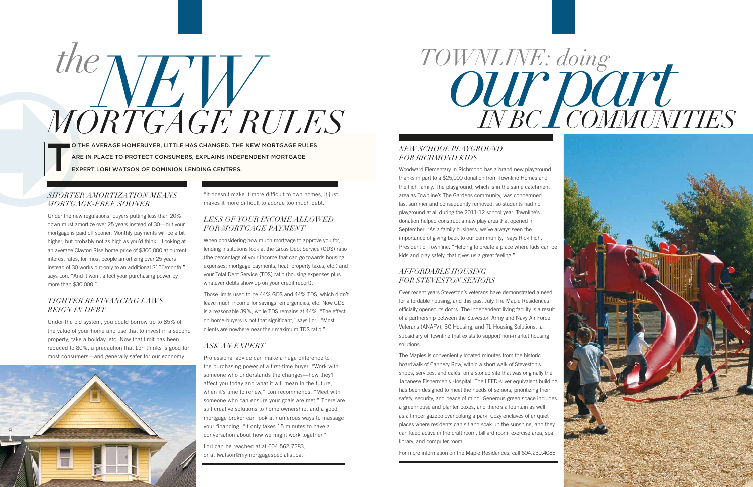#### *Shorter Amortization Means Mortgage-Free Sooner*

Under the new regulations, buyers putting less than 20% down must amortize over 25 years instead of 30—but your mortgage is paid off sooner. Monthly payments will be a bit higher, but probably not as high as you'd think. "Looking at an average Clayton Rise home price of \$300,000 at current interest rates, for most people amortizing over 25 years instead of 30 works out only to an additional \$156/month," says Lori. "And it won't affect your purchasing power by more than \$30,000."

#### *Tighter Refinancing Laws Reign in Debt*

Under the old system, you could borrow up to 85% of the value of your home and use that to invest in a second property, take a holiday, etc. Now that limit has been reduced to 80%, a precaution that Lori thinks is good for most consumers—and generally safer for our economy.



"It doesn't make it more difficult to own homes, it just makes it more difficult to accrue too much debt."

#### *Less of Your Income Allowed for Mortgage Payment*

When considering how much mortgage to approve you for, lending institutions look at the Gross Debt Service (GDS) ratio (the percentage of your income that can go towards housing expenses: mortgage payments, heat, property taxes, etc.) and your Total Debt Service (TDS) ratio (housing expenses plus whatever debts show up on your credit report).

O THE AVERAGE HOMEBUYER, LITTLE HAS CHANGED. THE NEW MORTGAGE RULES are in place to protect consumers, explains independent mortgage expert Lori Watson of dominion lending centres.

### *the mortgage rules NEW TOWNLINE: doing*<br>*RTCACE RULES*

Those limits used to be 44% GDS and 44% TDS, which didn't leave much income for savings, emergencies, etc. Now GDS is a reasonable 39%, while TDS remains at 44%. "The effect on home-buyers is not that significant," says Lori. "Most clients are nowhere near their maximum TDS ratio."

#### *Ask an Expert*

Professional advice can make a huge difference to the purchasing power of a first-time buyer. "Work with someone who understands the changes—how they'll affect you today and what it will mean in the future, when it's time to renew," Lori recommends. "Meet with someone who can ensure your goals are met." There are still creative solutions to home ownership, and a good mortgage broker can look at numerous ways to massage your financing. "It only takes 15 minutes to have a conversation about how we might work together."

Lori can be reached at at 604.562.7283, or at lwatson@mymortgagespecialist.ca.

#### *New School Playground for Richmond Kids*

Woodward Elementary in Richmond has a brand new playground, thanks in part to a \$25,000 donation from Townline Homes and the Ilich family. The playground, which is in the same catchment area as Townline's The Gardens community, was condemned last summer and consequently removed, so students had no playground at all during the 2011-12 school year. Townline's donation helped construct a new play area that opened in September. "As a family business, we've always seen the importance of giving back to our community," says Rick Ilich, President of Townline. "Helping to create a place where kids can be kids and play safely, that gives us a great feeling."

#### *Affordable Housing for Steveston Seniors*

Over recent years Steveston's veterans have demonstrated a need for affordable housing, and this past July The Maple Residences officially opened its doors. The independent living facility is a result of a partnership between the Steveston Army and Navy Air Force Veterans (ANAFV), BC Housing, and TL Housing Solutions, a subsidiary of Townline that exists to support non-market housing solutions.

The Maples is conveniently located minutes from the historic boardwalk of Cannery Row, within a short walk of Steveston's shops, services, and cafés, on a storied site that was originally the Japanese Fishermen's Hospital. The LEED-silver equivalent building has been designed to meet the needs of seniors, prioritizing their safety, security, and peace of mind. Generous green space includes a greenhouse and planter boxes, and there's a fountain as well as a timber gazebo overlooking a park. Cozy enclaves offer quiet places where residents can sit and soak up the sunshine, and they can keep active in the craft room, billiard room, exercise area, spa, library, and computer room.

For more information on the Maple Residences, call 604.239.4085



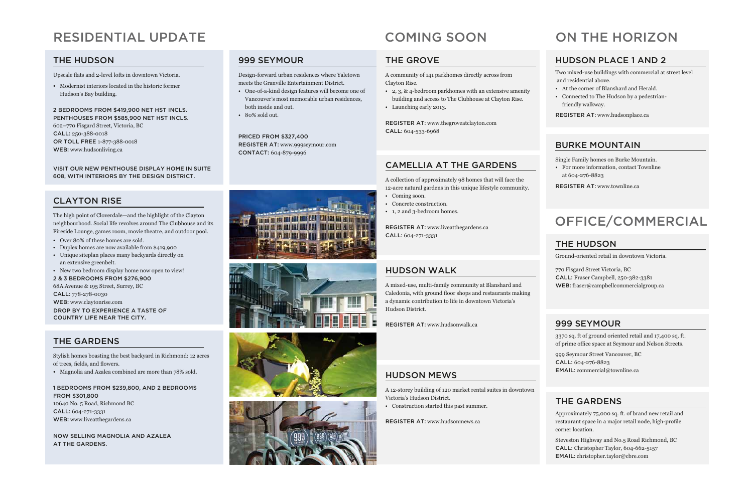#### the hudson

Upscale flats and 2-level lofts in downtown Victoria.

2 bedrooms from \$419,900 net HST incls. Penthouses from \$585,900 net HST incls. 602–770 Fisgard Street, Victoria, BC CALL: 250-388-0018 or toll free 1-877-388-0018 WEB: www.hudsonliving.ca

• Modernist interiors located in the historic former Hudson's Bay building.

Visit our new penthouse display home in suite 608, with interiors by the Design District.

#### clayton rise

The high point of Cloverdale—and the highlight of the Clayton neighbourhood. Social life revolves around The Clubhouse and its Fireside Lounge, games room, movie theatre, and outdoor pool.

#### 1 BEDROOMS from \$239,800, AND 2 BEDROOMS FROM \$301,800 10640 No. 5 Road, Richmond BC CALL: 604-271-3331

WEB: www.liveatthegardens.ca

- Over 80% of these homes are sold.
- Duplex homes are now available from \$419,900
- Unique siteplan places many backyards directly on an extensive greenbelt.
- New two bedroom display home now open to view!

2 & 3 bedrooms from \$276,900

68A Avenue & 195 Street, Surrey, BC CALL: 778-278-0030 Web: www.claytonrise.com DROP BY TO EXPERIENCE A TASTE OF country life near the city.

#### THE GARDENS

REGISTER AT: www.liveatthegardens.ca CALL: 604-271-3331

Stylish homes boasting the best backyard in Richmond: 12 acres of trees, fields, and flowers.

• Magnolia and Azalea combined are more than 78% sold.

REGISTER AT: www.thegroveatclayton.com CALL: 604-533-6968

NOW SELLING MAGNOLIA AND AZALEA AT THE GARDENS.

#### Residential update

#### 999 Seymour

Design-forward urban residences where Yaletown meets the Granville Entertainment District.

- One-of-a-kind design features will become one of Vancouver's most memorable urban residences, both inside and out.
- 80% sold out.

999 Seymour Street Vancouver, BC CALL: 604-276-8823 EMAIL: commercial@townline.ca

Priced from \$327,400 REGISTER AT: www.999seymour.com contact: 604-879-9996









#### THE GROVE

#### HUDSON MEWS

A 12-storey building of 120 market rental suites in downtown Victoria's Hudson District.

• Construction started this past summer.

REGISTER AT: www.hudsonmews.ca

#### Camellia at the gardens

A collection of approximately 98 homes that will face the 12-acre natural gardens in this unique lifestyle community.

- Coming soon.
- Concrete construction.
- 1, 2 and 3-bedroom homes.

#### HUDSON WALK

A mixed-use, multi-family community at Blanshard and Caledonia, with ground floor shops and restaurants making a dynamic contribution to life in downtown Victoria's Hudson District.

REGISTER AT: www.hudsonwalk.ca

A community of 141 parkhomes directly across from Clayton Rise.

- 2, 3, & 4-bedroom parkhomes with an extensive amenity building and access to The Clubhouse at Clayton Rise.
- Launching early 2013.

#### HUDSON PLACE 1 AND 2

Two mixed-use buildings with commercial at street level and residential above.

- At the corner of Blanshard and Herald.
- Connected to The Hudson by a pedestrianfriendly walkway.

REGISTER AT: www.hudsonplace.ca

#### BURKE MOUNTAIN

Single Family homes on Burke Mountain.

• For more information, contact Townline at 604-276-8823

REGISTER AT: www.townline.ca

#### cOMING SOON on the Horizon

#### 999 Seymour

3370 sq. ft of ground oriented retail and 17,400 sq. ft. of prime office space at Seymour and Nelson Streets.

#### The Hudson

Ground-oriented retail in downtown Victoria.

770 Fisgard Street Victoria, BC Call: Fraser Campbell, 250-382-3381 Web: fraser@campbellcommercialgroup.ca

#### The Gardens

Approximately 75,000 sq. ft. of brand new retail and restaurant space in a major retail node, high-profile corner location.

Steveston Highway and No.5 Road Richmond, BC CALL: Christopher Taylor, 604-662-5157 Email: christopher.taylor@cbre.com

#### Office/Commercial